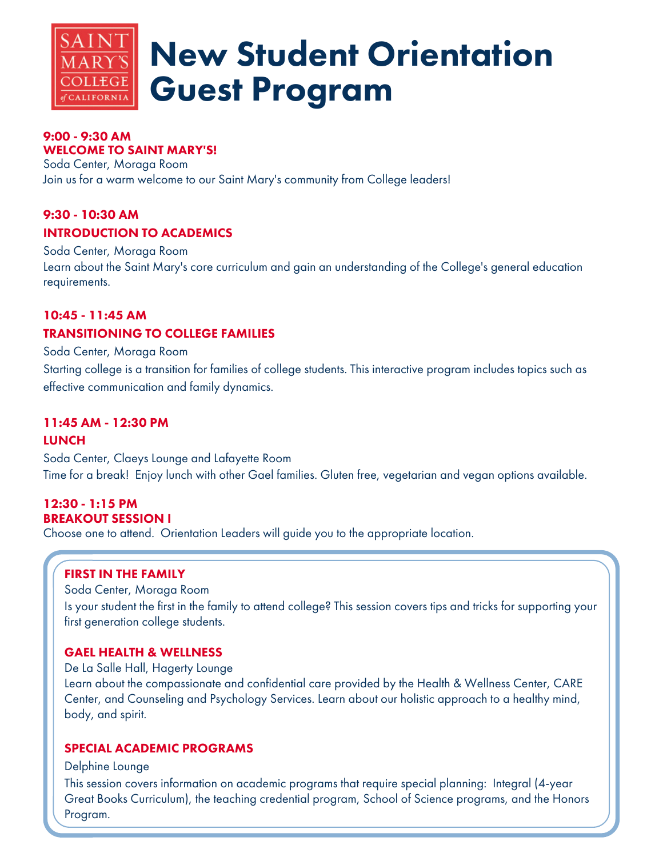

# New Student Orientation Guest Program

#### 9:00 - 9:30 AM WELCOME TO SAINT MARY'S!

Soda Center, Moraga Room Join us for a warm welcome to our Saint Mary's community from College leaders!

# 9:30 - 10:30 AM INTRODUCTION TO ACADEMICS

Soda Center, Moraga Room Learn about the Saint Mary's core curriculum and gain an understanding of the College's general education requirements.

# 10:45 - 11:45 AM TRANSITIONING TO COLLEGE FAMILIES

Soda Center, Moraga Room

Starting college is a transition for families of college students. This interactive program includes topics such as effective communication and family dynamics.

# 11:45 AM - 12:30 PM

# **LUNCH**

Soda Center, Claeys Lounge and Lafayette Room Time for a break! Enjoy lunch with other Gael families. Gluten free, vegetarian and vegan options available.

# 12:30 - 1:15 PM BREAKOUT SESSION I

Choose one to attend. Orientation Leaders will guide you to the appropriate location.

# FIRST IN THE FAMILY

Soda Center, Moraga Room Is your student the first in the family to attend college? This session covers tips and tricks for supporting your first generation college students.

# GAEL HEALTH & WELLNESS

De La Salle Hall, Hagerty Lounge Learn about the compassionate and confidential care provided by the Health & Wellness Center, CARE Center, and Counseling and Psychology Services. Learn about our holistic approach to a healthy mind, body, and spirit.

# SPECIAL ACADEMIC PROGRAMS

Delphine Lounge

This session covers information on academic programs that require special planning: Integral (4-year Great Books Curriculum), the teaching credential program, School of Science programs, and the Honors Program.